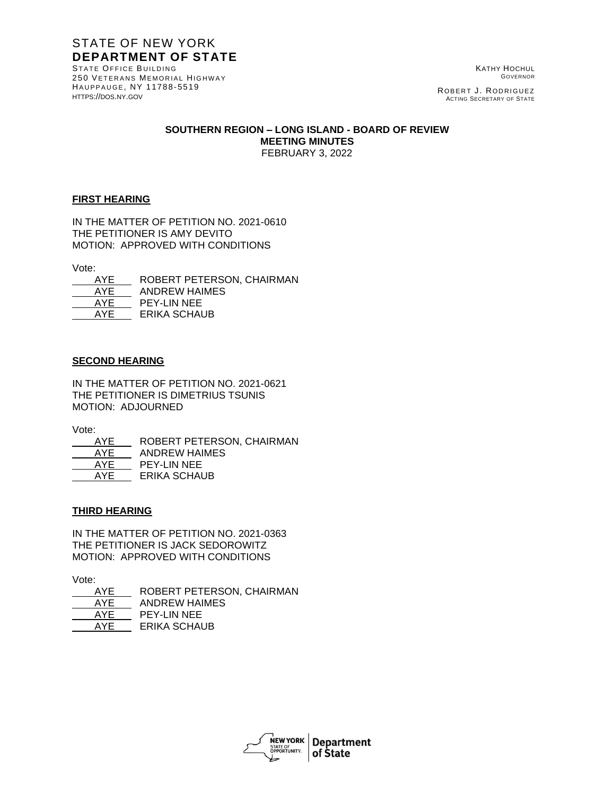# STATE OF NEW YORK **DEPARTMENT OF STATE**

STATE OFFICE BUILDING 250 VETERANS MEMORIAL HIGHWAY HAUPPAUGE, NY 11788-5519 [HTTPS](http://www.dos.ny./)://DOS.NY.GOV

KATHY HOCHUL GOVERNOR

ROBERT J. RODRIGUEZ ACTING SECRETARY OF STATE

#### **SOUTHERN REGION – LONG ISLAND - BOARD OF REVIEW MEETING MINUTES** FEBRUARY 3, 2022

## **FIRST HEARING**

IN THE MATTER OF PETITION NO. 2021-0610 THE PETITIONER IS AMY DEVITO MOTION: APPROVED WITH CONDITIONS

Vote:

| AYE | ROBERT PETERSON, CHAIRMAN |
|-----|---------------------------|
| AYE | ANDREW HAIMES             |
| AYE | <b>PEY-LIN NEE</b>        |
| AYF | ERIKA SCHAUB              |

## **SECOND HEARING**

IN THE MATTER OF PETITION NO. 2021-0621 THE PETITIONER IS DIMETRIUS TSUNIS MOTION: ADJOURNED

Vote:

| AYE | ROBERT PETERSON, CHAIRMAN |
|-----|---------------------------|
| AYE | <b>ANDREW HAIMES</b>      |
| AYF | PEY-LIN NEE               |
| AYF | <b>ERIKA SCHAUB</b>       |
|     |                           |

## **THIRD HEARING**

IN THE MATTER OF PETITION NO. 2021-0363 THE PETITIONER IS JACK SEDOROWITZ MOTION: APPROVED WITH CONDITIONS

Vote:

 AYE ROBERT PETERSON, CHAIRMAN AYE ANDREW HAIMES AYE PEY-LIN NEE AYE ERIKA SCHAUB